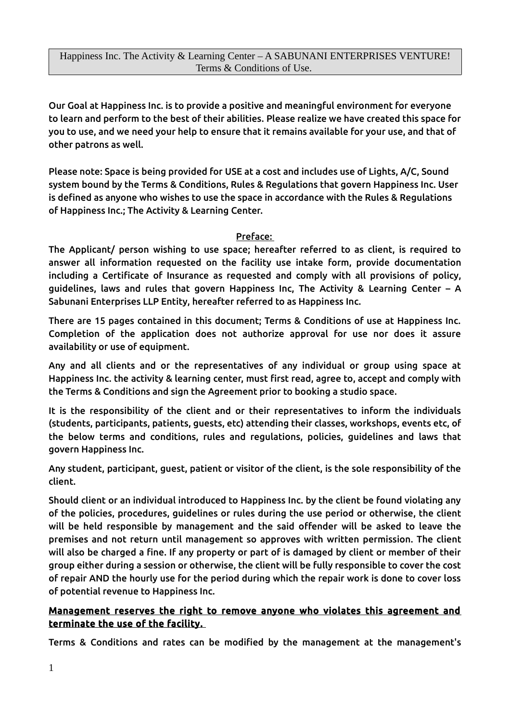Our Goal at Happiness Inc. is to provide a positive and meaningful environment for everyone to learn and perform to the best of their abilities. Please realize we have created this space for you to use, and we need your help to ensure that it remains available for your use, and that of other patrons as well.

Please note: Space is being provided for USE at a cost and includes use of Lights, A/C, Sound system bound by the Terms & Conditions, Rules & Regulations that govern Happiness Inc. User is defined as anyone who wishes to use the space in accordance with the Rules & Regulations of Happiness Inc.; The Activity & Learning Center.

#### Preface:

The Applicant/ person wishing to use space; hereafter referred to as client, is required to answer all information requested on the facility use intake form, provide documentation including a Certificate of Insurance as requested and comply with all provisions of policy, guidelines, laws and rules that govern Happiness Inc, The Activity & Learning Center – A Sabunani Enterprises LLP Entity, hereafter referred to as Happiness Inc.

There are 15 pages contained in this document; Terms & Conditions of use at Happiness Inc. Completion of the application does not authorize approval for use nor does it assure availability or use of equipment.

Any and all clients and or the representatives of any individual or group using space at Happiness Inc. the activity & learning center, must first read, agree to, accept and comply with the Terms & Conditions and sign the Agreement prior to booking a studio space.

It is the responsibility of the client and or their representatives to inform the individuals (students, participants, patients, guests, etc) attending their classes, workshops, events etc, of the below terms and conditions, rules and regulations, policies, guidelines and laws that govern Happiness Inc.

Any student, participant, guest, patient or visitor of the client, is the sole responsibility of the client.

Should client or an individual introduced to Happiness Inc. by the client be found violating any of the policies, procedures, guidelines or rules during the use period or otherwise, the client will be held responsible by management and the said offender will be asked to leave the premises and not return until management so approves with written permission. The client will also be charged a fine. If any property or part of is damaged by client or member of their group either during a session or otherwise, the client will be fully responsible to cover the cost of repair AND the hourly use for the period during which the repair work is done to cover loss of potential revenue to Happiness Inc.

#### Management reserves the right to remove anyone who violates this agreement and terminate the use of the facility.

Terms & Conditions and rates can be modified by the management at the management's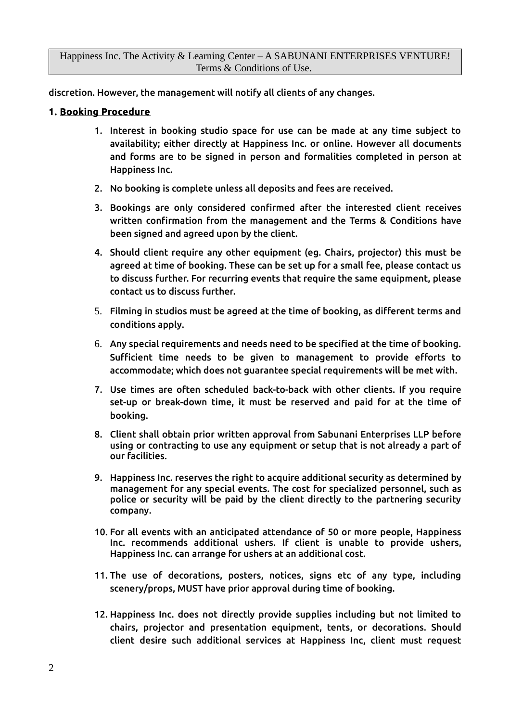discretion. However, the management will notify all clients of any changes.

#### 1. Booking Procedure

- 1. Interest in booking studio space for use can be made at any time subject to availability; either directly at Happiness Inc. or online. However all documents and forms are to be signed in person and formalities completed in person at Happiness Inc.
- 2. No booking is complete unless all deposits and fees are received.
- 3. Bookings are only considered confirmed after the interested client receives written confirmation from the management and the Terms & Conditions have been signed and agreed upon by the client.
- 4. Should client require any other equipment (eg. Chairs, projector) this must be agreed at time of booking. These can be set up for a small fee, please contact us to discuss further. For recurring events that require the same equipment, please contact us to discuss further.
- 5. Filming in studios must be agreed at the time of booking, as different terms and conditions apply.
- 6. Any special requirements and needs need to be specified at the time of booking. Sufficient time needs to be given to management to provide efforts to accommodate; which does not guarantee special requirements will be met with.
- 7. Use times are often scheduled back-to-back with other clients. If you require set-up or break-down time, it must be reserved and paid for at the time of booking.
- 8. Client shall obtain prior written approval from Sabunani Enterprises LLP before using or contracting to use any equipment or setup that is not already a part of our facilities.
- 9. Happiness Inc. reserves the right to acquire additional security as determined by management for any special events. The cost for specialized personnel, such as police or security will be paid by the client directly to the partnering security company.
- 10. For all events with an anticipated attendance of 50 or more people, Happiness Inc. recommends additional ushers. If client is unable to provide ushers, Happiness Inc. can arrange for ushers at an additional cost.
- 11. The use of decorations, posters, notices, signs etc of any type, including scenery/props, MUST have prior approval during time of booking.
- 12. Happiness Inc. does not directly provide supplies including but not limited to chairs, projector and presentation equipment, tents, or decorations. Should client desire such additional services at Happiness Inc, client must request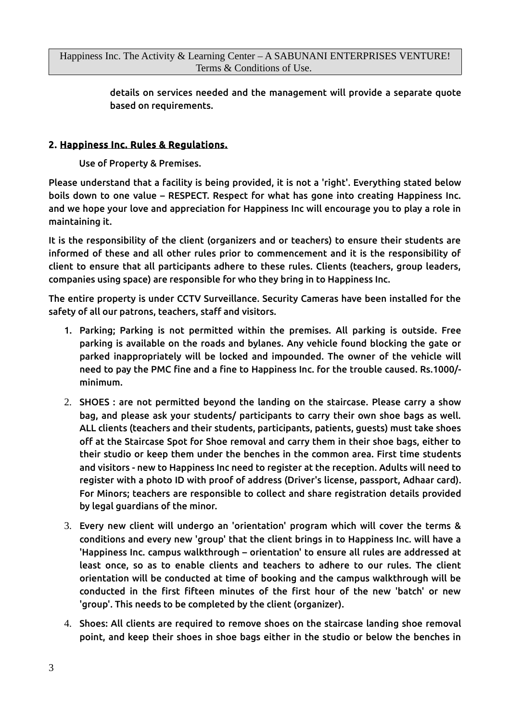details on services needed and the management will provide a separate quote based on requirements.

## 2. Happiness Inc. Rules & Regulations.

Use of Property & Premises.

Please understand that a facility is being provided, it is not a 'right'. Everything stated below boils down to one value – RESPECT. Respect for what has gone into creating Happiness Inc. and we hope your love and appreciation for Happiness Inc will encourage you to play a role in maintaining it.

It is the responsibility of the client (organizers and or teachers) to ensure their students are informed of these and all other rules prior to commencement and it is the responsibility of client to ensure that all participants adhere to these rules. Clients (teachers, group leaders, companies using space) are responsible for who they bring in to Happiness Inc.

The entire property is under CCTV Surveillance. Security Cameras have been installed for the safety of all our patrons, teachers, staff and visitors.

- 1. Parking; Parking is not permitted within the premises. All parking is outside. Free parking is available on the roads and bylanes. Any vehicle found blocking the gate or parked inappropriately will be locked and impounded. The owner of the vehicle will need to pay the PMC fine and a fine to Happiness Inc. for the trouble caused. Rs.1000/ minimum.
- 2. SHOES : are not permitted beyond the landing on the staircase. Please carry a show bag, and please ask your students/ participants to carry their own shoe bags as well. ALL clients (teachers and their students, participants, patients, guests) must take shoes off at the Staircase Spot for Shoe removal and carry them in their shoe bags, either to their studio or keep them under the benches in the common area. First time students and visitors - new to Happiness Inc need to register at the reception. Adults will need to register with a photo ID with proof of address (Driver's license, passport, Adhaar card). For Minors; teachers are responsible to collect and share registration details provided by legal guardians of the minor.
- 3. Every new client will undergo an 'orientation' program which will cover the terms & conditions and every new 'group' that the client brings in to Happiness Inc. will have a 'Happiness Inc. campus walkthrough – orientation' to ensure all rules are addressed at least once, so as to enable clients and teachers to adhere to our rules. The client orientation will be conducted at time of booking and the campus walkthrough will be conducted in the first fifteen minutes of the first hour of the new 'batch' or new 'group'. This needs to be completed by the client (organizer).
- 4. Shoes: All clients are required to remove shoes on the staircase landing shoe removal point, and keep their shoes in shoe bags either in the studio or below the benches in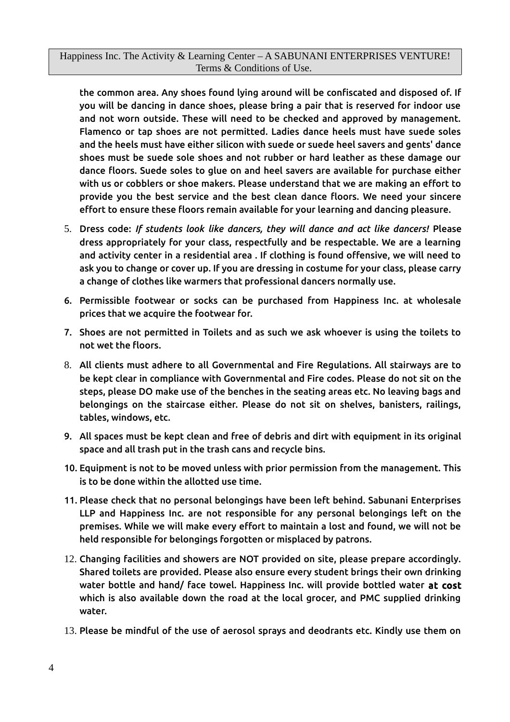the common area. Any shoes found lying around will be confiscated and disposed of. If you will be dancing in dance shoes, please bring a pair that is reserved for indoor use and not worn outside. These will need to be checked and approved by management. Flamenco or tap shoes are not permitted. Ladies dance heels must have suede soles and the heels must have either silicon with suede or suede heel savers and gents' dance shoes must be suede sole shoes and not rubber or hard leather as these damage our dance floors. Suede soles to glue on and heel savers are available for purchase either with us or cobblers or shoe makers. Please understand that we are making an effort to provide you the best service and the best clean dance floors. We need your sincere effort to ensure these floors remain available for your learning and dancing pleasure.

- 5. Dress code: *If students look like dancers, they will dance and act like dancers!* Please dress appropriately for your class, respectfully and be respectable. We are a learning and activity center in a residential area . If clothing is found offensive, we will need to ask you to change or cover up. If you are dressing in costume for your class, please carry a change of clothes like warmers that professional dancers normally use.
- 6. Permissible footwear or socks can be purchased from Happiness Inc. at wholesale prices that we acquire the footwear for.
- 7. Shoes are not permitted in Toilets and as such we ask whoever is using the toilets to not wet the floors.
- 8. All clients must adhere to all Governmental and Fire Regulations. All stairways are to be kept clear in compliance with Governmental and Fire codes. Please do not sit on the steps, please DO make use of the benches in the seating areas etc. No leaving bags and belongings on the staircase either. Please do not sit on shelves, banisters, railings, tables, windows, etc.
- 9. All spaces must be kept clean and free of debris and dirt with equipment in its original space and all trash put in the trash cans and recycle bins.
- 10. Equipment is not to be moved unless with prior permission from the management. This is to be done within the allotted use time.
- 11. Please check that no personal belongings have been left behind. Sabunani Enterprises LLP and Happiness Inc. are not responsible for any personal belongings left on the premises. While we will make every effort to maintain a lost and found, we will not be held responsible for belongings forgotten or misplaced by patrons.
- 12. Changing facilities and showers are NOT provided on site, please prepare accordingly. Shared toilets are provided. Please also ensure every student brings their own drinking water bottle and hand/ face towel. Happiness Inc. will provide bottled water at cost which is also available down the road at the local grocer, and PMC supplied drinking water.
- 13. Please be mindful of the use of aerosol sprays and deodrants etc. Kindly use them on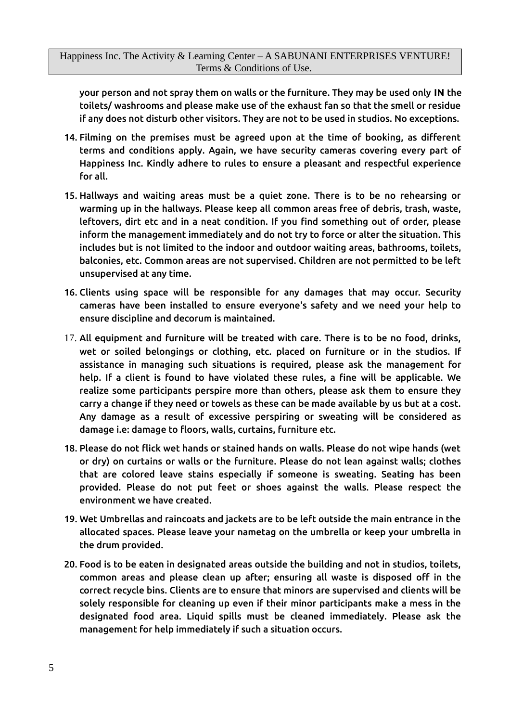your person and not spray them on walls or the furniture. They may be used only IN the toilets/ washrooms and please make use of the exhaust fan so that the smell or residue if any does not disturb other visitors. They are not to be used in studios. No exceptions.

- 14. Filming on the premises must be agreed upon at the time of booking, as different terms and conditions apply. Again, we have security cameras covering every part of Happiness Inc. Kindly adhere to rules to ensure a pleasant and respectful experience for all.
- 15. Hallways and waiting areas must be a quiet zone. There is to be no rehearsing or warming up in the hallways. Please keep all common areas free of debris, trash, waste, leftovers, dirt etc and in a neat condition. If you find something out of order, please inform the management immediately and do not try to force or alter the situation. This includes but is not limited to the indoor and outdoor waiting areas, bathrooms, toilets, balconies, etc. Common areas are not supervised. Children are not permitted to be left unsupervised at any time.
- 16. Clients using space will be responsible for any damages that may occur. Security cameras have been installed to ensure everyone's safety and we need your help to ensure discipline and decorum is maintained.
- 17. All equipment and furniture will be treated with care. There is to be no food, drinks, wet or soiled belongings or clothing, etc. placed on furniture or in the studios. If assistance in managing such situations is required, please ask the management for help. If a client is found to have violated these rules, a fine will be applicable. We realize some participants perspire more than others, please ask them to ensure they carry a change if they need or towels as these can be made available by us but at a cost. Any damage as a result of excessive perspiring or sweating will be considered as damage i.e: damage to floors, walls, curtains, furniture etc.
- 18. Please do not flick wet hands or stained hands on walls. Please do not wipe hands (wet or dry) on curtains or walls or the furniture. Please do not lean against walls; clothes that are colored leave stains especially if someone is sweating. Seating has been provided. Please do not put feet or shoes against the walls. Please respect the environment we have created.
- 19. Wet Umbrellas and raincoats and jackets are to be left outside the main entrance in the allocated spaces. Please leave your nametag on the umbrella or keep your umbrella in the drum provided.
- 20. Food is to be eaten in designated areas outside the building and not in studios, toilets, common areas and please clean up after; ensuring all waste is disposed off in the correct recycle bins. Clients are to ensure that minors are supervised and clients will be solely responsible for cleaning up even if their minor participants make a mess in the designated food area. Liquid spills must be cleaned immediately. Please ask the management for help immediately if such a situation occurs.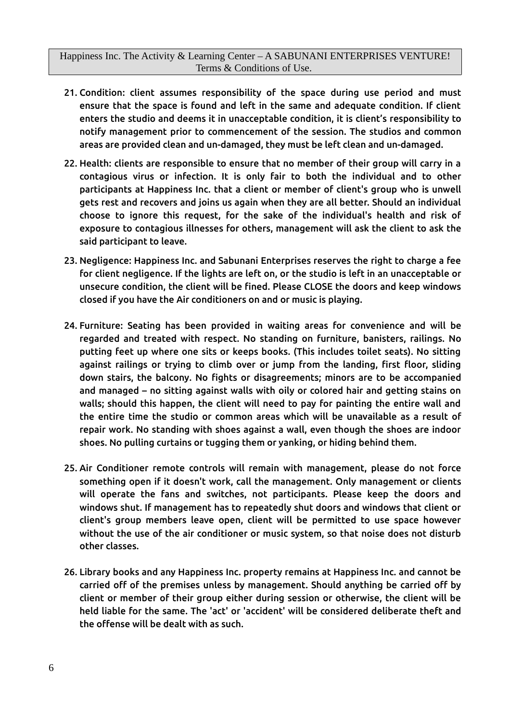- 21. Condition: client assumes responsibility of the space during use period and must ensure that the space is found and left in the same and adequate condition. If client enters the studio and deems it in unacceptable condition, it is client's responsibility to notify management prior to commencement of the session. The studios and common areas are provided clean and un-damaged, they must be left clean and un-damaged.
- 22. Health: clients are responsible to ensure that no member of their group will carry in a contagious virus or infection. It is only fair to both the individual and to other participants at Happiness Inc. that a client or member of client's group who is unwell gets rest and recovers and joins us again when they are all better. Should an individual choose to ignore this request, for the sake of the individual's health and risk of exposure to contagious illnesses for others, management will ask the client to ask the said participant to leave.
- 23. Negligence: Happiness Inc. and Sabunani Enterprises reserves the right to charge a fee for client negligence. If the lights are left on, or the studio is left in an unacceptable or unsecure condition, the client will be fined. Please CLOSE the doors and keep windows closed if you have the Air conditioners on and or music is playing.
- 24. Furniture: Seating has been provided in waiting areas for convenience and will be regarded and treated with respect. No standing on furniture, banisters, railings. No putting feet up where one sits or keeps books. (This includes toilet seats). No sitting against railings or trying to climb over or jump from the landing, first floor, sliding down stairs, the balcony. No fights or disagreements; minors are to be accompanied and managed – no sitting against walls with oily or colored hair and getting stains on walls; should this happen, the client will need to pay for painting the entire wall and the entire time the studio or common areas which will be unavailable as a result of repair work. No standing with shoes against a wall, even though the shoes are indoor shoes. No pulling curtains or tugging them or yanking, or hiding behind them.
- 25. Air Conditioner remote controls will remain with management, please do not force something open if it doesn't work, call the management. Only management or clients will operate the fans and switches, not participants. Please keep the doors and windows shut. If management has to repeatedly shut doors and windows that client or client's group members leave open, client will be permitted to use space however without the use of the air conditioner or music system, so that noise does not disturb other classes.
- 26. Library books and any Happiness Inc. property remains at Happiness Inc. and cannot be carried off of the premises unless by management. Should anything be carried off by client or member of their group either during session or otherwise, the client will be held liable for the same. The 'act' or 'accident' will be considered deliberate theft and the offense will be dealt with as such.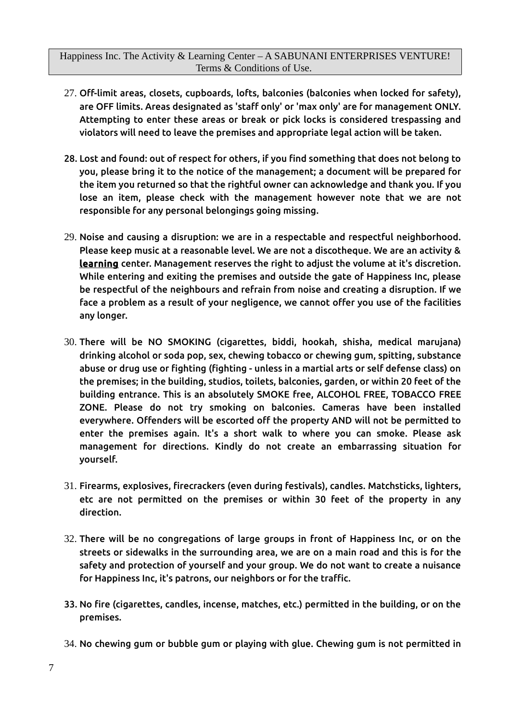- 27. Off-limit areas, closets, cupboards, lofts, balconies (balconies when locked for safety), are OFF limits. Areas designated as 'staff only' or 'max only' are for management ONLY. Attempting to enter these areas or break or pick locks is considered trespassing and violators will need to leave the premises and appropriate legal action will be taken.
- 28. Lost and found: out of respect for others, if you find something that does not belong to you, please bring it to the notice of the management; a document will be prepared for the item you returned so that the rightful owner can acknowledge and thank you. If you lose an item, please check with the management however note that we are not responsible for any personal belongings going missing.
- 29. Noise and causing a disruption: we are in a respectable and respectful neighborhood. Please keep music at a reasonable level. We are not a discotheque. We are an activity & learning center. Management reserves the right to adjust the volume at it's discretion. While entering and exiting the premises and outside the gate of Happiness Inc, please be respectful of the neighbours and refrain from noise and creating a disruption. If we face a problem as a result of your negligence, we cannot offer you use of the facilities any longer.
- 30. There will be NO SMOKING (cigarettes, biddi, hookah, shisha, medical marujana) drinking alcohol or soda pop, sex, chewing tobacco or chewing gum, spitting, substance abuse or drug use or fighting (fighting - unless in a martial arts or self defense class) on the premises; in the building, studios, toilets, balconies, garden, or within 20 feet of the building entrance. This is an absolutely SMOKE free, ALCOHOL FREE, TOBACCO FREE ZONE. Please do not try smoking on balconies. Cameras have been installed everywhere. Offenders will be escorted off the property AND will not be permitted to enter the premises again. It's a short walk to where you can smoke. Please ask management for directions. Kindly do not create an embarrassing situation for yourself.
- 31. Firearms, explosives, firecrackers (even during festivals), candles. Matchsticks, lighters, etc are not permitted on the premises or within 30 feet of the property in any direction.
- 32. There will be no congregations of large groups in front of Happiness Inc, or on the streets or sidewalks in the surrounding area, we are on a main road and this is for the safety and protection of yourself and your group. We do not want to create a nuisance for Happiness Inc, it's patrons, our neighbors or for the traffic.
- 33. No fire (cigarettes, candles, incense, matches, etc.) permitted in the building, or on the premises.
- 34. No chewing gum or bubble gum or playing with glue. Chewing gum is not permitted in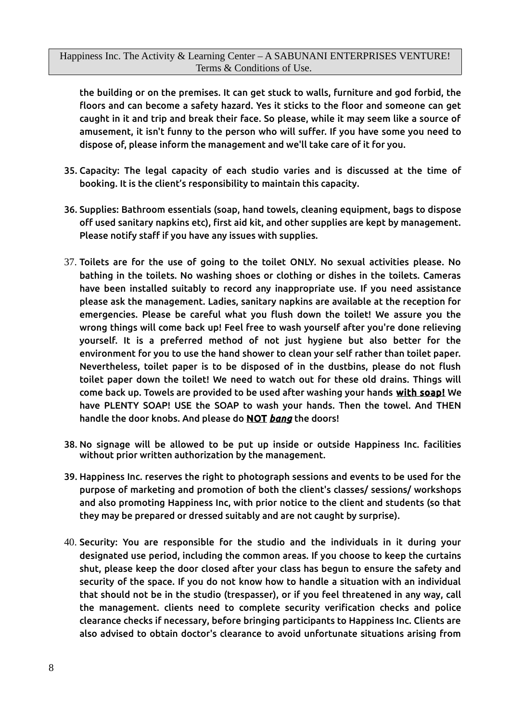the building or on the premises. It can get stuck to walls, furniture and god forbid, the floors and can become a safety hazard. Yes it sticks to the floor and someone can get caught in it and trip and break their face. So please, while it may seem like a source of amusement, it isn't funny to the person who will suffer. If you have some you need to dispose of, please inform the management and we'll take care of it for you.

- 35. Capacity: The legal capacity of each studio varies and is discussed at the time of booking. It is the client's responsibility to maintain this capacity.
- 36. Supplies: Bathroom essentials (soap, hand towels, cleaning equipment, bags to dispose off used sanitary napkins etc), first aid kit, and other supplies are kept by management. Please notify staff if you have any issues with supplies.
- 37. Toilets are for the use of going to the toilet ONLY. No sexual activities please. No bathing in the toilets. No washing shoes or clothing or dishes in the toilets. Cameras have been installed suitably to record any inappropriate use. If you need assistance please ask the management. Ladies, sanitary napkins are available at the reception for emergencies. Please be careful what you flush down the toilet! We assure you the wrong things will come back up! Feel free to wash yourself after you're done relieving yourself. It is a preferred method of not just hygiene but also better for the environment for you to use the hand shower to clean your self rather than toilet paper. Nevertheless, toilet paper is to be disposed of in the dustbins, please do not flush toilet paper down the toilet! We need to watch out for these old drains. Things will come back up. Towels are provided to be used after washing your hands with soap! We have PLENTY SOAP! USE the SOAP to wash your hands. Then the towel. And THEN handle the door knobs. And please do NOT *bang* the doors!
- 38. No signage will be allowed to be put up inside or outside Happiness Inc. facilities without prior written authorization by the management.
- 39. Happiness Inc. reserves the right to photograph sessions and events to be used for the purpose of marketing and promotion of both the client's classes/ sessions/ workshops and also promoting Happiness Inc, with prior notice to the client and students (so that they may be prepared or dressed suitably and are not caught by surprise).
- 40. Security: You are responsible for the studio and the individuals in it during your designated use period, including the common areas. If you choose to keep the curtains shut, please keep the door closed after your class has begun to ensure the safety and security of the space. If you do not know how to handle a situation with an individual that should not be in the studio (trespasser), or if you feel threatened in any way, call the management. clients need to complete security verification checks and police clearance checks if necessary, before bringing participants to Happiness Inc. Clients are also advised to obtain doctor's clearance to avoid unfortunate situations arising from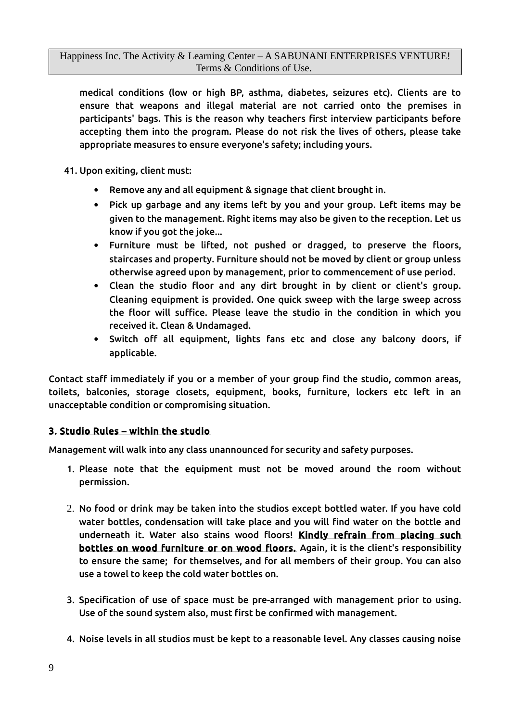medical conditions (low or high BP, asthma, diabetes, seizures etc). Clients are to ensure that weapons and illegal material are not carried onto the premises in participants' bags. This is the reason why teachers first interview participants before accepting them into the program. Please do not risk the lives of others, please take appropriate measures to ensure everyone's safety; including yours.

41. Upon exiting, client must:

- Remove any and all equipment & signage that client brought in.
- Pick up garbage and any items left by you and your group. Left items may be given to the management. Right items may also be given to the reception. Let us know if you got the joke...
- Furniture must be lifted, not pushed or dragged, to preserve the floors, staircases and property. Furniture should not be moved by client or group unless otherwise agreed upon by management, prior to commencement of use period.
- Clean the studio floor and any dirt brought in by client or client's group. Cleaning equipment is provided. One quick sweep with the large sweep across the floor will suffice. Please leave the studio in the condition in which you received it. Clean & Undamaged.
- Switch off all equipment, lights fans etc and close any balcony doors, if applicable.

Contact staff immediately if you or a member of your group find the studio, common areas, toilets, balconies, storage closets, equipment, books, furniture, lockers etc left in an unacceptable condition or compromising situation.

#### 3. Studio Rules – within the studio

Management will walk into any class unannounced for security and safety purposes.

- 1. Please note that the equipment must not be moved around the room without permission.
- 2. No food or drink may be taken into the studios except bottled water. If you have cold water bottles, condensation will take place and you will find water on the bottle and underneath it. Water also stains wood floors! Kindly refrain from placing such bottles on wood furniture or on wood floors. Again, it is the client's responsibility to ensure the same; for themselves, and for all members of their group. You can also use a towel to keep the cold water bottles on.
- 3. Specification of use of space must be pre-arranged with management prior to using. Use of the sound system also, must first be confirmed with management.
- 4. Noise levels in all studios must be kept to a reasonable level. Any classes causing noise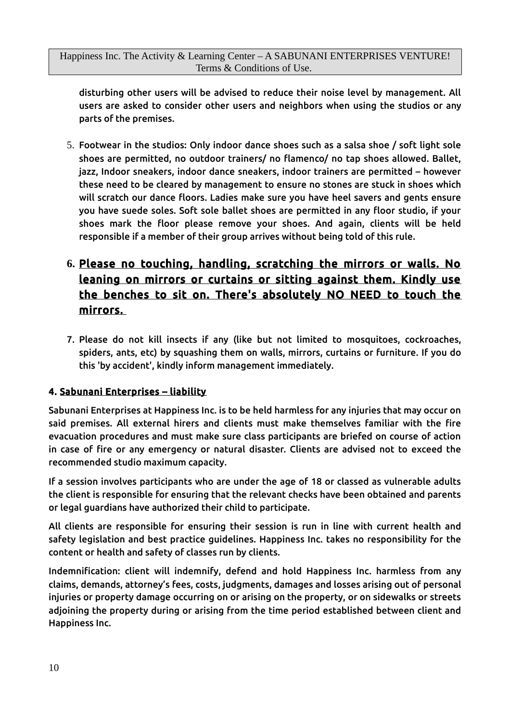disturbing other users will be advised to reduce their noise level by management. All users are asked to consider other users and neighbors when using the studios or any parts of the premises.

5. Footwear in the studios: Only indoor dance shoes such as a salsa shoe / soft light sole shoes are permitted, no outdoor trainers/ no flamenco/ no tap shoes allowed. Ballet, jazz, Indoor sneakers, indoor dance sneakers, indoor trainers are permitted – however these need to be cleared by management to ensure no stones are stuck in shoes which will scratch our dance floors. Ladies make sure you have heel savers and gents ensure you have suede soles. Soft sole ballet shoes are permitted in any floor studio, if your shoes mark the floor please remove your shoes. And again, clients will be held responsible if a member of their group arrives without being told of this rule.

# **6.** Please no touching, handling, scratching the mirrors or walls. No leaning on mirrors or curtains or sitting against them. Kindly use the benches to sit on. There's absolutely NO NEED to touch the mirrors.

7. Please do not kill insects if any (like but not limited to mosquitoes, cockroaches, spiders, ants, etc) by squashing them on walls, mirrors, curtains or furniture. If you do this 'by accident', kindly inform management immediately.

## 4. Sabunani Enterprises – liability

Sabunani Enterprises at Happiness Inc. is to be held harmless for any injuries that may occur on said premises. All external hirers and clients must make themselves familiar with the fire evacuation procedures and must make sure class participants are briefed on course of action in case of fire or any emergency or natural disaster. Clients are advised not to exceed the recommended studio maximum capacity.

If a session involves participants who are under the age of 18 or classed as vulnerable adults the client is responsible for ensuring that the relevant checks have been obtained and parents or legal guardians have authorized their child to participate.

All clients are responsible for ensuring their session is run in line with current health and safety legislation and best practice guidelines. Happiness Inc. takes no responsibility for the content or health and safety of classes run by clients.

Indemnification: client will indemnify, defend and hold Happiness Inc. harmless from any claims, demands, attorney's fees, costs, judgments, damages and losses arising out of personal injuries or property damage occurring on or arising on the property, or on sidewalks or streets adjoining the property during or arising from the time period established between client and Happiness Inc.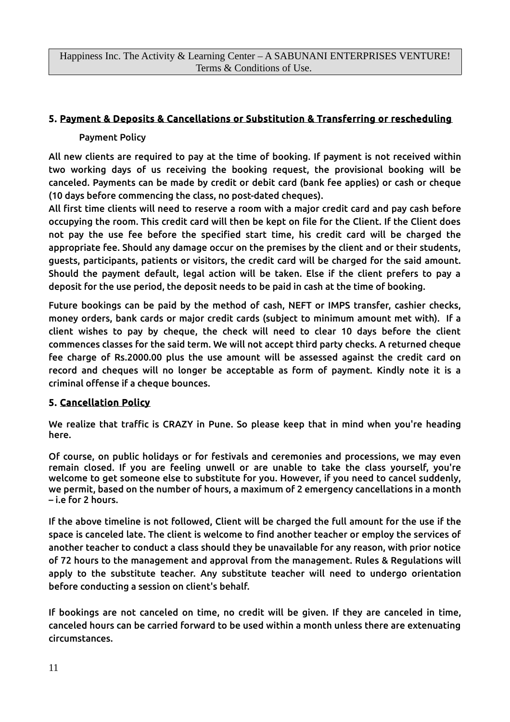### 5. Payment & Deposits & Cancellations or Substitution & Transferring or rescheduling

#### Payment Policy

All new clients are required to pay at the time of booking. If payment is not received within two working days of us receiving the booking request, the provisional booking will be canceled. Payments can be made by credit or debit card (bank fee applies) or cash or cheque (10 days before commencing the class, no post-dated cheques).

All first time clients will need to reserve a room with a major credit card and pay cash before occupying the room. This credit card will then be kept on file for the Client. If the Client does not pay the use fee before the specified start time, his credit card will be charged the appropriate fee. Should any damage occur on the premises by the client and or their students, guests, participants, patients or visitors, the credit card will be charged for the said amount. Should the payment default, legal action will be taken. Else if the client prefers to pay a deposit for the use period, the deposit needs to be paid in cash at the time of booking.

Future bookings can be paid by the method of cash, NEFT or IMPS transfer, cashier checks, money orders, bank cards or major credit cards (subject to minimum amount met with). If a client wishes to pay by cheque, the check will need to clear 10 days before the client commences classes for the said term. We will not accept third party checks. A returned cheque fee charge of Rs.2000.00 plus the use amount will be assessed against the credit card on record and cheques will no longer be acceptable as form of payment. Kindly note it is a criminal offense if a cheque bounces.

### 5. Cancellation Policy

We realize that traffic is CRAZY in Pune. So please keep that in mind when you're heading here.

Of course, on public holidays or for festivals and ceremonies and processions, we may even remain closed. If you are feeling unwell or are unable to take the class yourself, you're welcome to get someone else to substitute for you. However, if you need to cancel suddenly, we permit, based on the number of hours, a maximum of 2 emergency cancellations in a month – i.e for 2 hours.

If the above timeline is not followed, Client will be charged the full amount for the use if the space is canceled late. The client is welcome to find another teacher or employ the services of another teacher to conduct a class should they be unavailable for any reason, with prior notice of 72 hours to the management and approval from the management. Rules & Regulations will apply to the substitute teacher. Any substitute teacher will need to undergo orientation before conducting a session on client's behalf.

If bookings are not canceled on time, no credit will be given. If they are canceled in time, canceled hours can be carried forward to be used within a month unless there are extenuating circumstances.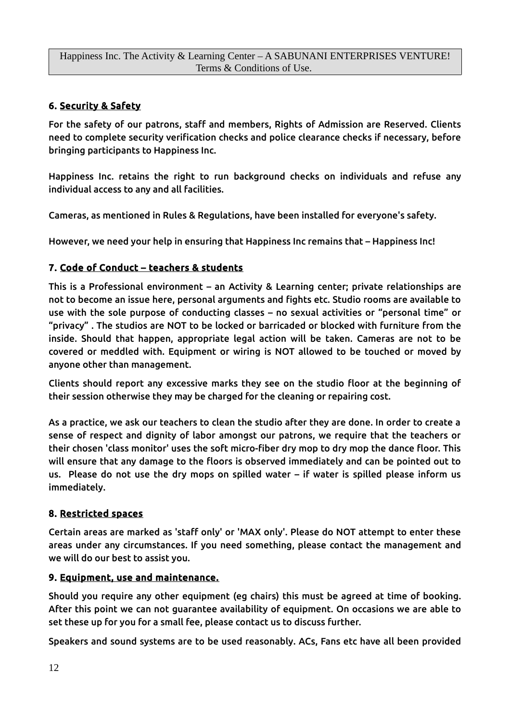## 6. Security & Safety

For the safety of our patrons, staff and members, Rights of Admission are Reserved. Clients need to complete security verification checks and police clearance checks if necessary, before bringing participants to Happiness Inc.

Happiness Inc. retains the right to run background checks on individuals and refuse any individual access to any and all facilities.

Cameras, as mentioned in Rules & Regulations, have been installed for everyone's safety.

However, we need your help in ensuring that Happiness Inc remains that – Happiness Inc!

## 7. Code of Conduct – teachers & students

This is a Professional environment – an Activity & Learning center; private relationships are not to become an issue here, personal arguments and fights etc. Studio rooms are available to use with the sole purpose of conducting classes – no sexual activities or "personal time" or "privacy" . The studios are NOT to be locked or barricaded or blocked with furniture from the inside. Should that happen, appropriate legal action will be taken. Cameras are not to be covered or meddled with. Equipment or wiring is NOT allowed to be touched or moved by anyone other than management.

Clients should report any excessive marks they see on the studio floor at the beginning of their session otherwise they may be charged for the cleaning or repairing cost.

As a practice, we ask our teachers to clean the studio after they are done. In order to create a sense of respect and dignity of labor amongst our patrons, we require that the teachers or their chosen 'class monitor' uses the soft micro-fiber dry mop to dry mop the dance floor. This will ensure that any damage to the floors is observed immediately and can be pointed out to us. Please do not use the dry mops on spilled water – if water is spilled please inform us immediately.

### 8. Restricted spaces

Certain areas are marked as 'staff only' or 'MAX only'. Please do NOT attempt to enter these areas under any circumstances. If you need something, please contact the management and we will do our best to assist you.

### 9. Equipment, use and maintenance.

Should you require any other equipment (eg chairs) this must be agreed at time of booking. After this point we can not guarantee availability of equipment. On occasions we are able to set these up for you for a small fee, please contact us to discuss further.

Speakers and sound systems are to be used reasonably. ACs, Fans etc have all been provided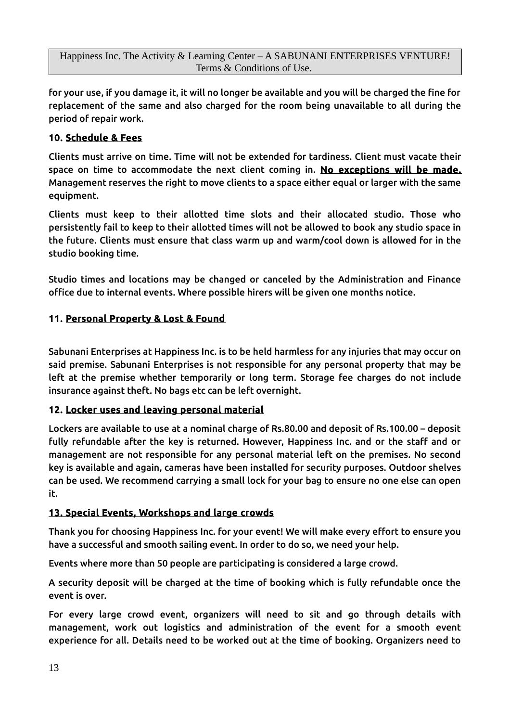for your use, if you damage it, it will no longer be available and you will be charged the fine for replacement of the same and also charged for the room being unavailable to all during the period of repair work.

## 10. Schedule & Fees

Clients must arrive on time. Time will not be extended for tardiness. Client must vacate their space on time to accommodate the next client coming in. No exceptions will be made. Management reserves the right to move clients to a space either equal or larger with the same equipment.

Clients must keep to their allotted time slots and their allocated studio. Those who persistently fail to keep to their allotted times will not be allowed to book any studio space in the future. Clients must ensure that class warm up and warm/cool down is allowed for in the studio booking time.

Studio times and locations may be changed or canceled by the Administration and Finance office due to internal events. Where possible hirers will be given one months notice.

## 11. Personal Property & Lost & Found

Sabunani Enterprises at Happiness Inc. is to be held harmless for any injuries that may occur on said premise. Sabunani Enterprises is not responsible for any personal property that may be left at the premise whether temporarily or long term. Storage fee charges do not include insurance against theft. No bags etc can be left overnight.

### 12. Locker uses and leaving personal material

Lockers are available to use at a nominal charge of Rs.80.00 and deposit of Rs.100.00 – deposit fully refundable after the key is returned. However, Happiness Inc. and or the staff and or management are not responsible for any personal material left on the premises. No second key is available and again, cameras have been installed for security purposes. Outdoor shelves can be used. We recommend carrying a small lock for your bag to ensure no one else can open it.

### 13. Special Events, Workshops and large crowds

Thank you for choosing Happiness Inc. for your event! We will make every effort to ensure you have a successful and smooth sailing event. In order to do so, we need your help.

Events where more than 50 people are participating is considered a large crowd.

A security deposit will be charged at the time of booking which is fully refundable once the event is over.

For every large crowd event, organizers will need to sit and go through details with management, work out logistics and administration of the event for a smooth event experience for all. Details need to be worked out at the time of booking. Organizers need to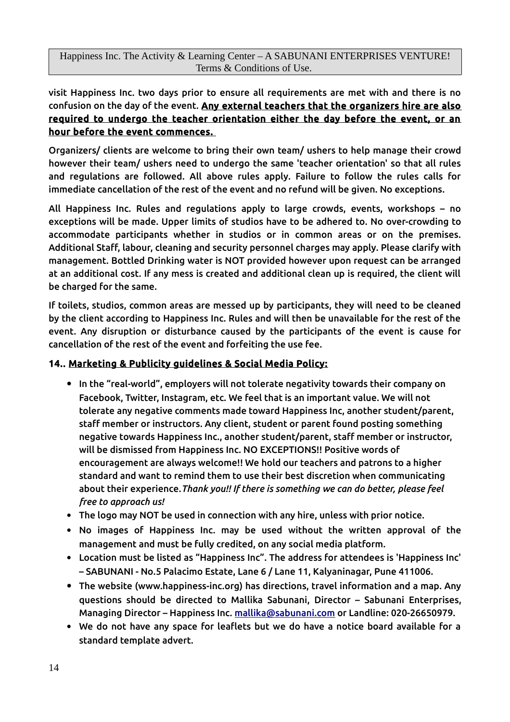visit Happiness Inc. two days prior to ensure all requirements are met with and there is no confusion on the day of the event. Any external teachers that the organizers hire are also required to undergo the teacher orientation either the day before the event, or an hour before the event commences.

Organizers/ clients are welcome to bring their own team/ ushers to help manage their crowd however their team/ ushers need to undergo the same 'teacher orientation' so that all rules and regulations are followed. All above rules apply. Failure to follow the rules calls for immediate cancellation of the rest of the event and no refund will be given. No exceptions.

All Happiness Inc. Rules and regulations apply to large crowds, events, workshops – no exceptions will be made. Upper limits of studios have to be adhered to. No over-crowding to accommodate participants whether in studios or in common areas or on the premises. Additional Staff, labour, cleaning and security personnel charges may apply. Please clarify with management. Bottled Drinking water is NOT provided however upon request can be arranged at an additional cost. If any mess is created and additional clean up is required, the client will be charged for the same.

If toilets, studios, common areas are messed up by participants, they will need to be cleaned by the client according to Happiness Inc. Rules and will then be unavailable for the rest of the event. Any disruption or disturbance caused by the participants of the event is cause for cancellation of the rest of the event and forfeiting the use fee.

## 14.. Marketing & Publicity guidelines & Social Media Policy:

- In the "real-world", employers will not tolerate negativity towards their company on Facebook, Twitter, Instagram, etc. We feel that is an important value. We will not tolerate any negative comments made toward Happiness Inc, another student/parent, staff member or instructors. Any client, student or parent found posting something negative towards Happiness Inc., another student/parent, staff member or instructor, will be dismissed from Happiness Inc. NO EXCEPTIONS!! Positive words of encouragement are always welcome!! We hold our teachers and patrons to a higher standard and want to remind them to use their best discretion when communicating about their experience.*Thank you!! If there is something we can do better, please feel free to approach us!*
- The logo may NOT be used in connection with any hire, unless with prior notice.
- No images of Happiness Inc. may be used without the written approval of the management and must be fully credited, on any social media platform.
- Location must be listed as "Happiness Inc". The address for attendees is 'Happiness Inc' – SABUNANI - No.5 Palacimo Estate, Lane 6 / Lane 11, Kalyaninagar, Pune 411006.
- The website (www.happiness-inc.org) has directions, travel information and a map. Any questions should be directed to Mallika Sabunani, Director – Sabunani Enterprises, Managing Director – Happiness Inc. [mallika@sabunani.com](mailto:mallika@sabunani.com) or Landline: 020-26650979.
- We do not have any space for leaflets but we do have a notice board available for a standard template advert.